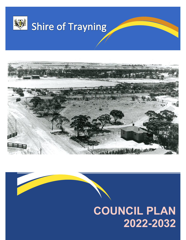



# **COUNCIL PLAN 2022-2032**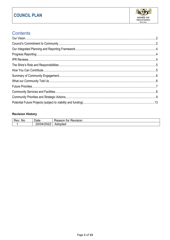

# **Contents**

## **Revision History**

| -<br>Νo | -<br>Jate                                                  | Revision<br>----<br>⊤nr |
|---------|------------------------------------------------------------|-------------------------|
|         | $\sim$ $\sim$ $\sim$<br>$\sqrt{ }$<br>ıд<br><b>VIILVLL</b> | Adopted                 |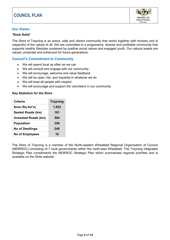

## <span id="page-2-0"></span>**Our Vision**

#### "**Rock Solid**"

The Shire of Trayning is an active, safe and vibrant community that works together with honesty and is respectful of the values of all. We are committed to a progressive, diverse and profitable community that supports healthy lifestyles sustained by positive social values and engaged youth. Our natural assets are valued, protected and enhanced for future generations.

### <span id="page-2-1"></span>**Council's Commitment to Community**

- We will spend local as often as we can
- We will consult and engage with our community
- We will encourage, welcome and value feedback
- We will be open, fair, and impartial in whatever we do
- We will treat all people with respect
- We will encourage and support the volunteers in our community

#### **Key Statistics for the Shire**

| <b>Criteria</b>            | <b>Trayning</b> |
|----------------------------|-----------------|
| Area (Sq km's)             | 1,632           |
| <b>Sealed Roads (km)</b>   | 181             |
| <b>Unsealed Roads (km)</b> | 594             |
| <b>Population</b>          | 350             |
| <b>No of Dwellings</b>     | 240             |
| <b>No of Employees</b>     | 16              |

The Shire of Trayning is a member of the North-eastern Wheatbelt Regional Organisation of Council (NEWROC) consisting of 7 local governments within the north-east Wheatbelt. The Trayning Integrated Strategic Plan compliments the NEWROC Strategic Plan which summarises regional priorities and is available on the Shire website.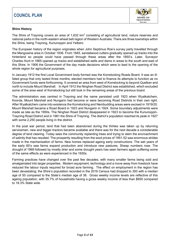

#### **Shire History**

The Shire of Trayning covers an area of 1,632  $km^2$  consisting of agricultural land, nature reserves and national parks in the north-eastern wheat belt region of Western Australia. There are three townships within the Shire, being Trayning, Kununoppin and Yelbeni.

The European history of the region originates when John Septimus Roe's survey party travelled through the Mangowine area in October 1836. From 1845, sandalwood cutters gradually opened up tracks into the hinterland so people could have passed through these areas after the 1850's. Later, Surveyor Charles Hunt in 1865 opened up tracks and established wells and dams in areas to the south and east of this Shire. In 1906 the Government of the day made decisions which were to lead to the opening of the whole region for agricultural purposes.

In January 1912 the first Local Government body formed was the Korrelocking Roads Board. It was an ill‐ fated group that only lasted three months; elected members had to finance its attempts to function as no Government funds were forthcoming. It covered an area from west of Korrelocking to beyond Quelkan and north to include Mount Marshall. In April 1912 the Ninghan Road District was established, which excluded some of the area west of Korrelocking but still took in the remaining areas of the previous board.

The administration was centred in Trayning and the name persisted until 1923 when Wyalkatchem, Koorda, Mount Marshall and Nungarin had become or were becoming Road Districts in their own right. After Wyalkatchem came into existence the Korrelocking and Nembudding areas were excised in 1919/20. Mount Marshall became a Road Board in 1923 and Nungarin in 1924. Some boundary adjustments were made as late as the 1950s. The Ninghan Road District disappeared in 1923 to become the Kununoppin‐ Trayning Road District and in 1961 the Shire of Trayning. The district's population reached its peak in 1927 with some 2,250 people living in the district.

In the post war period, land that had been abandoned during the thirties was taken up by returning servicemen, new and bigger tractors became available and there was for the next decade a considerable degree of land clearing. Today sees the community replanting trees and trying to stem the encroachment of salinity that has resulted. The prosperity resulting from the wool prices of 1951‐52 saw enormous strides made in the mechanisation of farms. New homes replaced ageing early constructions. The wet years of the early 60's saw farms expand production and introduce new pastures. Sheep numbers rose. The drought of 1969 followed by mostly drier and some drought years has seen farmers again suffering some of the same effects as were experienced in the 1930s.

Farming practices have changed over the past few decades, with many smaller farms being sold and amalgamated into larger properties. Modern equipment, technology and a move away from livestock have reduced the labour inputs required for broad acre farming. The effect on employment in the region has been devastating; the Shire's population recorded in the 2016 Census had dropped to 350 with a median age of 50 compared to the State's median age of 36. Gross weekly income levels are reflective of this ageing population, with 35.7% of households having a gross weekly income of less than \$650 compared to 18.3% State wide.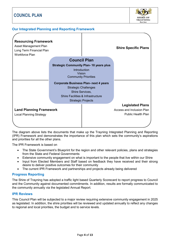

## <span id="page-4-0"></span>**Our Integrated Planning and Reporting Framework**

| <b>Resourcing Framework</b><br>Asset Management Plan<br>Long Term Financial Plan<br><b>Workforce Plan</b> |                                                                                                                                                                             | <b>Shire Specific Plans</b>                                                       |
|-----------------------------------------------------------------------------------------------------------|-----------------------------------------------------------------------------------------------------------------------------------------------------------------------------|-----------------------------------------------------------------------------------|
|                                                                                                           | <b>Council Plan</b><br><b>Strategic Community Plan-10 years plus</b><br>Introduction<br>Vision<br><b>Community Priorities</b>                                               |                                                                                   |
|                                                                                                           | <b>Corporate Business Plan- next 4 years</b><br><b>Strategic Challenges</b><br>Shire Services,<br><b>Shire Facilities &amp; Infrastructure</b><br><b>Strategic Projects</b> |                                                                                   |
| <b>Land Planning Framework</b><br><b>Local Planning Strategy</b>                                          |                                                                                                                                                                             | <b>Legislated Plans</b><br>Access and Inclusion Plan<br><b>Public Health Plan</b> |

The diagram above lists the documents that make up the Trayning Integrated Planning and Reporting (IPR) Framework and demonstrates the importance of this plan which sets the community's aspirations and priorities for all the other plans.

The IPR Framework is based on

- The State Government's Blueprint for the region and other relevant policies, plans and strategies from the State and Federal Governments
- Extensive community engagement on what is important to the people that live within our Shire
- Input from Elected Members and Staff based on feedback they have received and their strong desire to deliver positive outcomes for their community
- The current IPR Framework and partnerships and projects already being delivered

#### <span id="page-4-1"></span>**Progress Reporting**

The Shire of Trayning has adopted a traffic light based Quarterly Scorecard to report progress to Council and the Community against documented commitments. In addition, results are formally communicated to the community annually via the legislated Annual Report.

#### <span id="page-4-2"></span>**IPR Reviews**

This Council Plan will be subjected to a major review requiring extensive community engagement in 2025 as legislated. In addition, the shire priorities will be reviewed and updated annually to reflect any changes to regional and local priorities, the budget and to service levels.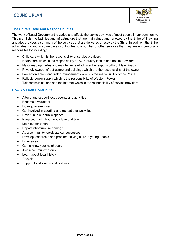

## <span id="page-5-0"></span>**The Shire's Role and Responsibilities**

The work of Local Government is varied and affects the day to day lives of most people in our community. This plan lists the facilities and infrastructure that are maintained and renewed by the Shire of Trayning and also provides a summary of the services that are delivered directly by the Shire. In addition, the Shire advocates for and in some cases contributes to a number of other services that they are not personally responsible for including:

- Child care which is the responsibility of service providers
- Heath care which is the responsibility of WA Country Health and health providers
- Major road upgrades and maintenance which are the responsibility of Main Roads
- Privately owned infrastructure and buildings which are the responsibility of the owner
- Law enforcement and traffic infringements which is the responsibility of the Police
- Reliable power supply which is the responsibility of Western Power
- Telecommunications and the internet which is the responsibility of service providers

## <span id="page-5-1"></span>**How You Can Contribute**

- Attend and support local, events and activities
- Become a volunteer
- Do regular exercise
- Get involved in sporting and recreational activities
- Have fun in our public spaces
- Keep your neighbourhood clean and tidy
- Look out for others
- Report infrastructure damage
- As a community, celebrate our successes
- Develop leadership and problem-solving skills in young people
- Drive safely
- Get to know your neighbours
- Join a community group
- Learn about local history
- Recycle
- Support local events and festivals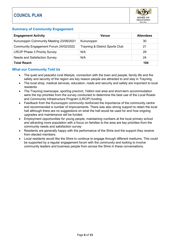

## <span id="page-6-0"></span>**Summary of Community Engagement**

| <b>Engagement Activity</b>              | <b>Venue</b>                    | <b>Attendees</b> |
|-----------------------------------------|---------------------------------|------------------|
| Kununoppin Community Meeting 23/06/2021 | Kununoppin                      | 30               |
| Community Engagement Forum 24/02/2022   | Trayning & District Sports Club | 21               |
| <b>LRCIP Phase 3 Priority Survey</b>    | N/A                             | 29               |
| Needs and Satisfaction Survey           | N/A                             | 24               |
| <b>Total Reach</b>                      |                                 | 104              |

### <span id="page-6-1"></span>**What our Community Told Us**

- The quiet and peaceful rural lifestyle, connection with the town and people, family life and the safety and security of the region are key reason people are attracted to and stay in Trayning.
- The local shop, medical services, education, roads and security and safety are important to local residents.
- The Trayning townscape, sporting precinct, Yelbini rest area and short-term accommodation were the top priorities from the survey conducted to determine the best use of the Local Roads and Community Infrastructure Program (LRCIP) funding.
- Feedback from the Kununoppin community reinforced the importance of the community centre and recommended a number of improvements. There was also strong support to retain the local hall although there are no suggestions on what the hall would be used for and how ongoing upgrades and maintenance will be funded.
- Employment opportunities for young people, maintaining numbers at the local primary school and attracting more population with a focus on families to the area are key priorities from the community needs and satisfaction survey
- Residents are generally happy with the performance of the Shire and the support they receive from elected members.
- Local residents would like the Shire to continue to engage through different mediums. This could be supported by a regular engagement forum with the community and looking to involve community leaders and business people from across the Shire in these conversations.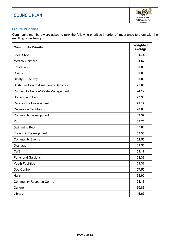

## <span id="page-7-0"></span>**Future Priorities**

Community members were asked to rank the following priorities in order of importance to them with the resulting order being:

| <b>Community Priority</b>                   | Weighted<br>Average |
|---------------------------------------------|---------------------|
| Local Shop                                  | 81.74               |
| <b>Medical Services</b>                     | 81.67               |
| Education                                   | 80.83               |
| Roads                                       | 80.83               |
| Safety & Security                           | 80.00               |
| <b>Bush Fire Control/Emergency Services</b> | 75.00               |
| <b>Rubbish Collection/Waste Management</b>  | 74.17               |
| Housing and Land                            | 73.33               |
| Care for the Environment                    | 72.17               |
| <b>Recreation Facilities</b>                | 70.83               |
| <b>Community Development</b>                | 69.57               |
| Pub                                         | 68.70               |
| <b>Swimming Pool</b>                        | 65.83               |
| <b>Economic Development</b>                 | 63.33               |
| <b>Community Events</b>                     | 62.50               |
| Drainage                                    | 62.50               |
| Café                                        | 59.17               |
| <b>Parks and Gardens</b>                    | 58.33               |
| <b>Youth Facilities</b>                     | 58.33               |
| Dog Control                                 | 57.50               |
| Halls                                       | 55.00               |
| <b>Community Resource Centre</b>            | 54.17               |
| Culture                                     | 50.83               |
| Library                                     | 46.67               |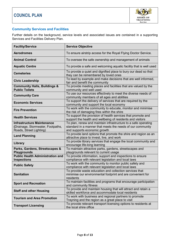

## <span id="page-8-0"></span>**Community Services and Facilities**

Further details on the background, service levels and associated issues are contained in a supporting Services and Facilities Delivery Plan.

| <b>Facility/Service</b>                                                                           | <b>Service Objective</b>                                                                                                                                     |
|---------------------------------------------------------------------------------------------------|--------------------------------------------------------------------------------------------------------------------------------------------------------------|
| <b>Aerodromes</b>                                                                                 | To ensure airstrip access for the Royal Flying Doctor Service.                                                                                               |
| <b>Animal Control</b>                                                                             | To oversee the safe ownership and management of animals                                                                                                      |
| <b>Aquatic Centre</b>                                                                             | To provide a safe and welcoming aquatic facility that is well used                                                                                           |
| <b>Cemeteries</b>                                                                                 | To provide a quiet and dignified place to bury our dead so that<br>they can be remembered by loved ones                                                      |
| <b>Civic Leadership</b>                                                                           | To lead by example and make decisions that are well informed,<br>fair and benefit the community                                                              |
| <b>Community Halls, Buildings &amp;</b><br><b>Public Toilets</b>                                  | To provide meeting places and facilities that are valued by the<br>community and well used                                                                   |
| <b>Community Care</b>                                                                             | To use our resources effectively to meet the diverse needs of<br>community members of all ages and abilities                                                 |
| <b>Economic Services</b>                                                                          | To support the delivery of services that are required by the<br>community and support the local economy                                                      |
| <b>Fire Prevention</b>                                                                            | To work with the community to educate, monitor and minimise<br>the risk of damaging fires within the shire                                                   |
| <b>Health Services</b>                                                                            | To support the provision of health services that promote and<br>support the health and wellbeing of residents and visitors                                   |
| <b>Infrastructure Maintenance</b><br>(Drainage, Stormwater, Footpaths,<br>Roads, Street Lighting) | To plan, renew and maintain infrastructure to a safe operating<br>standard in a manner that meets the needs of our community<br>and supports economic growth |
| <b>Land Planning</b>                                                                              | To provide land options that promote the shire and region as an<br>attractive place to invest, live, and work                                                |
| Library                                                                                           | To provide library services that engage the local community and<br>encourage life-long learning                                                              |
| Parks, Gardens, Streetscapes &<br><b>Playgrounds</b>                                              | To maintain attractive parks, gardens, streetscapes and<br>playgrounds relevant to current usage                                                             |
| <b>Public Health Administration and</b><br><b>Inspections</b>                                     | To provide information, support and inspections to ensure<br>compliance with relevant legislation and local laws                                             |
| <b>Public Safety</b>                                                                              | To work with the community to monitor public safety and<br>compliance with relevant legislation and local laws                                               |
| <b>Sanitation</b>                                                                                 | To provide waste education and collection services that<br>minimise our environmental footprint and are convenient for<br>residents                          |
| <b>Sport and Recreation</b>                                                                       | To maintain facilities and programs that encourage participation<br>and community fitness                                                                    |
| <b>Staff and other Housing</b>                                                                    | To provide and maintain housing that will attract and retain a<br>skilled workforce and accommodate local residents                                          |
| <b>Tourism and Area Promotion</b>                                                                 | To work with business and regional partners to promote<br>Trayning and the region as a great place to visit                                                  |
| <b>Transport Licensing</b>                                                                        | To provide relevant transport licensing options to residents at<br>the local shire office                                                                    |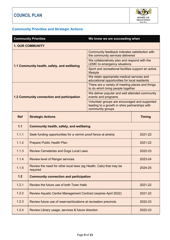

# <span id="page-9-0"></span>**Community Priorities and Strategic Actions**

|                                             | <b>Community Priorities</b>                                                    | We know we are succeeding when                                                                                      |                                                |  |
|---------------------------------------------|--------------------------------------------------------------------------------|---------------------------------------------------------------------------------------------------------------------|------------------------------------------------|--|
| <b>1. OUR COMMUNITY</b>                     |                                                                                |                                                                                                                     |                                                |  |
| 1.1 Community health, safety, and wellbeing |                                                                                | Community feedback indicates satisfaction with<br>the community services delivered                                  |                                                |  |
|                                             |                                                                                | We collaboratively plan and respond with the<br><b>LEMC</b> to emergency situations                                 |                                                |  |
|                                             |                                                                                | Sport and recreational facilities support an active<br>lifestyle                                                    |                                                |  |
|                                             |                                                                                | We retain appropriate medical services and<br>educational opportunities for local residents                         |                                                |  |
|                                             |                                                                                | There are a variety of meeting places and things<br>to do which bring people together                               |                                                |  |
| 1.2 Community connection and participation  |                                                                                | events and programs                                                                                                 | We deliver popular and well attended community |  |
|                                             |                                                                                | Volunteer groups are encouraged and supported<br>leading to a growth in shire partnerships with<br>community groups |                                                |  |
| <b>Ref</b>                                  | <b>Strategic Actions</b>                                                       |                                                                                                                     | <b>Timing</b>                                  |  |
| 1.1                                         | <b>Community health, safety, and wellbeing</b>                                 |                                                                                                                     |                                                |  |
| 1.1.1                                       | Seek funding opportunities for a vermin proof fence at airstrip                |                                                                                                                     | 2021-22                                        |  |
| 1.1.2                                       | <b>Prepare Public Health Plan</b>                                              |                                                                                                                     | 2021-22                                        |  |
| 1.1.3                                       | <b>Review Cemeteries and Dogs Local Laws</b>                                   |                                                                                                                     | 2022-23                                        |  |
| 1.1.4                                       | <b>Review level of Ranger services</b>                                         |                                                                                                                     | 2023-24                                        |  |
| 1.1.5                                       | Review the need for other local laws (eg Health, Cats) that may be<br>required |                                                                                                                     | 2024-25                                        |  |
| 1.2                                         | <b>Community connection and participation</b>                                  |                                                                                                                     |                                                |  |
| 1.2.1                                       | Review the future use of both Town Halls                                       |                                                                                                                     | 2021-22                                        |  |
| 1.2.2                                       | Review Aquatic Centre Management Contract (expires April 2022)                 |                                                                                                                     | 2021-22                                        |  |
| 1.2.3                                       | Review future use of reserves/locations at recreation precincts                |                                                                                                                     | 2022-23                                        |  |
| 1.2.4                                       | Review Library usage, services & future direction                              |                                                                                                                     | 2022-23                                        |  |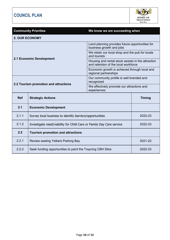

|                          | <b>Community Priorities</b>                                          | We know we are succeeding when                                                             |               |
|--------------------------|----------------------------------------------------------------------|--------------------------------------------------------------------------------------------|---------------|
| <b>2. OUR ECONOMY</b>    |                                                                      |                                                                                            |               |
|                          |                                                                      | Land planning provides future opportunities for<br>business growth and jobs                |               |
| 2.1 Economic Development |                                                                      | We retain our local shop and the pub for locals<br>and tourists                            |               |
|                          |                                                                      | Housing and rental stock assists in the attraction<br>and retention of the local workforce |               |
|                          |                                                                      | Economic growth is achieved through local and<br>regional partnerships                     |               |
|                          | Our community profile is well branded and<br>recognized              |                                                                                            |               |
|                          | 2.2 Tourism promotion and attractions                                | We effectively promote our attractions and<br>experiences                                  |               |
| <b>Ref</b>               | <b>Strategic Actions</b>                                             |                                                                                            | <b>Timing</b> |
| 2.1                      | <b>Economic Development</b>                                          |                                                                                            |               |
| 2.1.1                    | Survey local business to identify barriers/opportunities             |                                                                                            | 2022-23       |
| 2.1.2                    | Investigate need/viability for Child Care or Family Day Care service |                                                                                            | 2022-23       |
| 2.2                      | <b>Tourism promotion and attractions</b>                             |                                                                                            |               |
| 2.2.1                    | Review sealing Yelbeni Parking Bay                                   |                                                                                            | 2021-22       |
| 2.2.2                    | Seek funding opportunities to paint the Trayning CBH Silos           |                                                                                            | 2022-23       |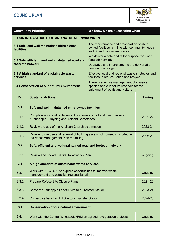

| <b>Community Priorities</b><br>We know we are succeeding when                                                                                                                             |                                                                                                                   |                                                                                              |               |
|-------------------------------------------------------------------------------------------------------------------------------------------------------------------------------------------|-------------------------------------------------------------------------------------------------------------------|----------------------------------------------------------------------------------------------|---------------|
| 3. OUR INFRASTRUCTURE AND NATURAL ENVIRONMENT                                                                                                                                             |                                                                                                                   |                                                                                              |               |
| The maintenance and preservation of shire<br>3.1 Safe, and well-maintained shire owned<br>owned facilities is in line with community needs<br>facilities<br>and Shire financial resources |                                                                                                                   |                                                                                              |               |
|                                                                                                                                                                                           | 3.2 Safe, efficient, and well-maintained road and                                                                 | We deliver a safe and fit for purpose road and<br>footpath network                           |               |
| footpath network                                                                                                                                                                          |                                                                                                                   | Upgrades and improvements are delivered on<br>time and on budget                             |               |
| <b>services</b>                                                                                                                                                                           | 3.3 A high standard of sustainable waste                                                                          | Effective local and regional waste strategies and<br>facilities to reduce, reuse and recycle |               |
| There is effective management of invasive<br>3.4 Conservation of our natural environment<br>species and our nature reserves for the<br>enjoyment of locals and visitors                   |                                                                                                                   |                                                                                              |               |
| <b>Ref</b>                                                                                                                                                                                | <b>Strategic Actions</b>                                                                                          |                                                                                              | <b>Timing</b> |
| 3.1                                                                                                                                                                                       | Safe and well-maintained shire owned facilities                                                                   |                                                                                              |               |
| 3.1.1                                                                                                                                                                                     | Complete audit and replacement of Cemetery plot and row numbers in<br>Kununoppin, Trayning and Yelbeni Cemeteries |                                                                                              | 2021-22       |
| 3.1.2                                                                                                                                                                                     | Review the use of the Anglican Church as a museum                                                                 |                                                                                              | 2023-24       |
| 3.1.3                                                                                                                                                                                     | Review future use and renewal of building assets not currently included in<br>the Asset Management Plan modelling |                                                                                              | 2022-23       |
| 3.2                                                                                                                                                                                       | Safe, efficient and well-maintained road and footpath network                                                     |                                                                                              |               |
| 3.2.1                                                                                                                                                                                     | <b>Review and update Capital Roadworks Plan</b>                                                                   |                                                                                              | ongoing       |
| 3.3                                                                                                                                                                                       | A high standard of sustainable waste services                                                                     |                                                                                              |               |
| 3.3.1                                                                                                                                                                                     | Work with NEWROC to explore opportunities to improve waste<br>management and establish regional landfill          |                                                                                              | Ongoing       |
| 3.3.2                                                                                                                                                                                     | <b>Prepare Refuse Site Closure Plans</b>                                                                          |                                                                                              | 2021-22       |
| 3.3.3                                                                                                                                                                                     | Convert Kununoppin Landfill Site to a Transfer Station                                                            |                                                                                              | 2023-24       |
| 3.3.4                                                                                                                                                                                     | <b>Convert Yelbeni Landfill Site to a Transfer Station</b>                                                        |                                                                                              | 2024-25       |
| 3.4                                                                                                                                                                                       | <b>Conservation of our natural environment</b>                                                                    |                                                                                              |               |
| 3.4.1                                                                                                                                                                                     | Work with the Central Wheatbelt NRM on agreed revegetation projects                                               |                                                                                              | Ongoing       |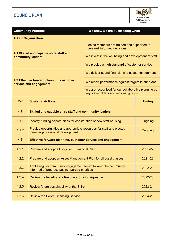

|                                                                                             | <b>Community Priorities</b>                                                                                                                                                 | We know we are succeeding when                                               |         |
|---------------------------------------------------------------------------------------------|-----------------------------------------------------------------------------------------------------------------------------------------------------------------------------|------------------------------------------------------------------------------|---------|
|                                                                                             | <b>4. Our Organization</b>                                                                                                                                                  |                                                                              |         |
|                                                                                             |                                                                                                                                                                             | Elected members are trained and supported to<br>make well informed decisions |         |
| 4.1 Skilled and capable shire staff and<br>community leaders                                |                                                                                                                                                                             | We invest in the wellbeing and development of staff                          |         |
|                                                                                             |                                                                                                                                                                             | We provide a high standard of customer service                               |         |
|                                                                                             | We deliver sound financial and asset management<br>4.2 Effective forward planning, customer<br>We report performance against targets in our plans<br>service and engagement |                                                                              |         |
|                                                                                             |                                                                                                                                                                             |                                                                              |         |
| We are recognized for our collaborative planning by<br>key stakeholders and regional groups |                                                                                                                                                                             |                                                                              |         |
| <b>Ref</b>                                                                                  | <b>Timing</b><br><b>Strategic Actions</b>                                                                                                                                   |                                                                              |         |
| 4.1                                                                                         | Skilled and capable shire staff and community leaders                                                                                                                       |                                                                              |         |
| 4.1.1                                                                                       | Identify funding opportunities for construction of new staff housing<br>Ongoing                                                                                             |                                                                              |         |
| 4.1.2                                                                                       | Provide opportunities and appropriate resources for staff and elected<br>Ongoing<br>member professional development                                                         |                                                                              |         |
| 4.2                                                                                         | Effective forward planning, customer service and engagement                                                                                                                 |                                                                              |         |
| 4.2.1                                                                                       | Prepare and adopt a Long-Term Financial Plan<br>2021-22                                                                                                                     |                                                                              |         |
| 4.2.2                                                                                       | Prepare and adopt an Asset Management Plan for all asset classes<br>2021-22                                                                                                 |                                                                              |         |
| 4.2.3                                                                                       | Trial a regular community engagement forum to keep the community<br>informed of progress against agreed priorities                                                          |                                                                              | 2022-23 |
| 4.2.4                                                                                       | Review the benefits of a Resource Sharing Agreement<br>2022-23                                                                                                              |                                                                              |         |
| 4.2.5                                                                                       | Review future sustainability of the Shire<br>2023-24                                                                                                                        |                                                                              |         |
| 4.2.6                                                                                       | <b>Review the Police Licensing Service</b>                                                                                                                                  |                                                                              | 2024-25 |